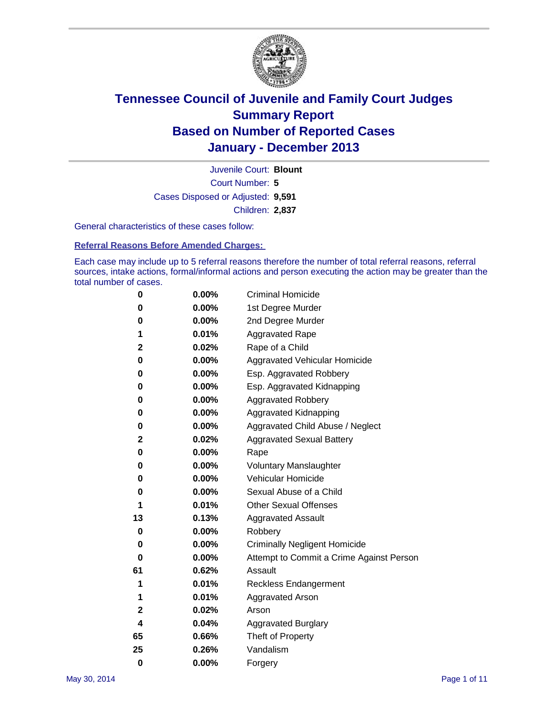

Court Number: **5** Juvenile Court: **Blount** Cases Disposed or Adjusted: **9,591** Children: **2,837**

General characteristics of these cases follow:

**Referral Reasons Before Amended Charges:** 

Each case may include up to 5 referral reasons therefore the number of total referral reasons, referral sources, intake actions, formal/informal actions and person executing the action may be greater than the total number of cases.

| 0        | $0.00\%$ | <b>Criminal Homicide</b>                 |
|----------|----------|------------------------------------------|
| 0        | 0.00%    | 1st Degree Murder                        |
| 0        | 0.00%    | 2nd Degree Murder                        |
| 1        | 0.01%    | <b>Aggravated Rape</b>                   |
| 2        | 0.02%    | Rape of a Child                          |
| 0        | 0.00%    | Aggravated Vehicular Homicide            |
| 0        | 0.00%    | Esp. Aggravated Robbery                  |
| 0        | 0.00%    | Esp. Aggravated Kidnapping               |
| 0        | $0.00\%$ | <b>Aggravated Robbery</b>                |
| 0        | 0.00%    | Aggravated Kidnapping                    |
| 0        | 0.00%    | Aggravated Child Abuse / Neglect         |
| 2        | 0.02%    | <b>Aggravated Sexual Battery</b>         |
| 0        | 0.00%    | Rape                                     |
| 0        | 0.00%    | <b>Voluntary Manslaughter</b>            |
| 0        | 0.00%    | Vehicular Homicide                       |
| 0        | 0.00%    | Sexual Abuse of a Child                  |
| 1        | 0.01%    | <b>Other Sexual Offenses</b>             |
| 13       | 0.13%    | <b>Aggravated Assault</b>                |
| 0        | 0.00%    | Robbery                                  |
| 0        | $0.00\%$ | <b>Criminally Negligent Homicide</b>     |
| 0        | 0.00%    | Attempt to Commit a Crime Against Person |
| 61       | 0.62%    | Assault                                  |
| 1        | 0.01%    | <b>Reckless Endangerment</b>             |
| 1        | 0.01%    | <b>Aggravated Arson</b>                  |
| 2        | 0.02%    | Arson                                    |
| 4        | 0.04%    | <b>Aggravated Burglary</b>               |
| 65       | 0.66%    | Theft of Property                        |
| 25       | 0.26%    | Vandalism                                |
| $\bf{0}$ | 0.00%    | Forgery                                  |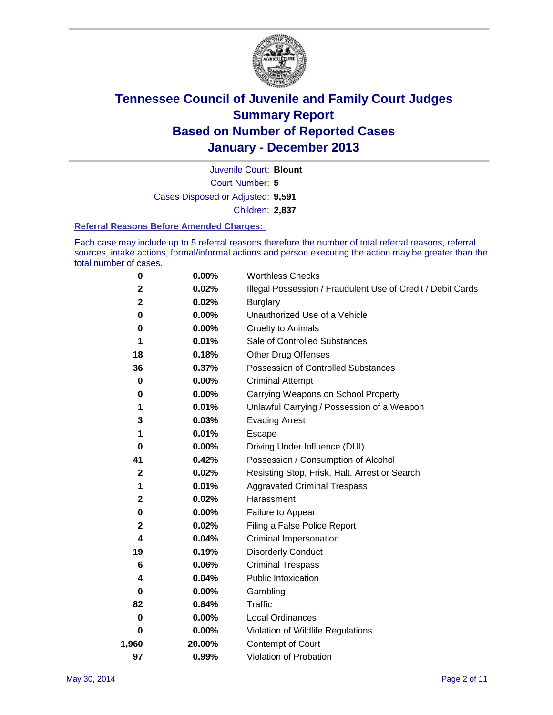

Court Number: **5** Juvenile Court: **Blount** Cases Disposed or Adjusted: **9,591** Children: **2,837**

### **Referral Reasons Before Amended Charges:**

Each case may include up to 5 referral reasons therefore the number of total referral reasons, referral sources, intake actions, formal/informal actions and person executing the action may be greater than the total number of cases.

| 0     | 0.00%    | <b>Worthless Checks</b>                                     |
|-------|----------|-------------------------------------------------------------|
| 2     | 0.02%    | Illegal Possession / Fraudulent Use of Credit / Debit Cards |
| 2     | 0.02%    | <b>Burglary</b>                                             |
| 0     | 0.00%    | Unauthorized Use of a Vehicle                               |
| 0     | 0.00%    | <b>Cruelty to Animals</b>                                   |
| 1     | 0.01%    | Sale of Controlled Substances                               |
| 18    | 0.18%    | <b>Other Drug Offenses</b>                                  |
| 36    | 0.37%    | Possession of Controlled Substances                         |
| 0     | $0.00\%$ | <b>Criminal Attempt</b>                                     |
| 0     | 0.00%    | Carrying Weapons on School Property                         |
| 1     | 0.01%    | Unlawful Carrying / Possession of a Weapon                  |
| 3     | 0.03%    | <b>Evading Arrest</b>                                       |
| 1     | 0.01%    | Escape                                                      |
| 0     | $0.00\%$ | Driving Under Influence (DUI)                               |
| 41    | 0.42%    | Possession / Consumption of Alcohol                         |
| 2     | 0.02%    | Resisting Stop, Frisk, Halt, Arrest or Search               |
| 1     | 0.01%    | <b>Aggravated Criminal Trespass</b>                         |
| 2     | 0.02%    | Harassment                                                  |
| 0     | 0.00%    | Failure to Appear                                           |
| 2     | 0.02%    | Filing a False Police Report                                |
| 4     | 0.04%    | Criminal Impersonation                                      |
| 19    | 0.19%    | <b>Disorderly Conduct</b>                                   |
| 6     | 0.06%    | <b>Criminal Trespass</b>                                    |
| 4     | 0.04%    | <b>Public Intoxication</b>                                  |
| 0     | 0.00%    | Gambling                                                    |
| 82    | 0.84%    | Traffic                                                     |
| 0     | $0.00\%$ | <b>Local Ordinances</b>                                     |
| 0     | 0.00%    | Violation of Wildlife Regulations                           |
| 1,960 | 20.00%   | Contempt of Court                                           |
| 97    | 0.99%    | Violation of Probation                                      |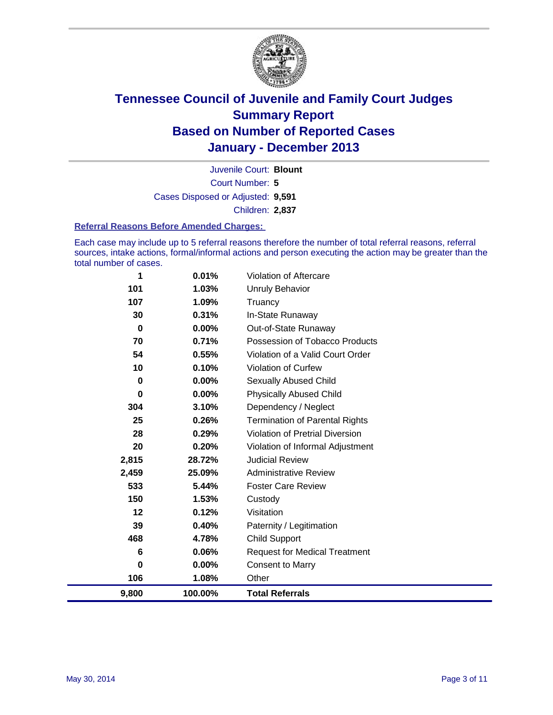

Court Number: **5** Juvenile Court: **Blount** Cases Disposed or Adjusted: **9,591** Children: **2,837**

### **Referral Reasons Before Amended Charges:**

Each case may include up to 5 referral reasons therefore the number of total referral reasons, referral sources, intake actions, formal/informal actions and person executing the action may be greater than the total number of cases.

| 9,800           | 100.00%  | <b>Total Referrals</b>                 |
|-----------------|----------|----------------------------------------|
| 106             | 1.08%    | Other                                  |
| $\bf{0}$        | $0.00\%$ | <b>Consent to Marry</b>                |
| $6\phantom{1}6$ | 0.06%    | <b>Request for Medical Treatment</b>   |
| 468             | 4.78%    | <b>Child Support</b>                   |
| 39              | 0.40%    | Paternity / Legitimation               |
| 12              | 0.12%    | Visitation                             |
| 150             | 1.53%    | Custody                                |
| 533             | 5.44%    | <b>Foster Care Review</b>              |
| 2,459           | 25.09%   | <b>Administrative Review</b>           |
| 2,815           | 28.72%   | <b>Judicial Review</b>                 |
| 20              | 0.20%    | Violation of Informal Adjustment       |
| 28              | 0.29%    | <b>Violation of Pretrial Diversion</b> |
| 25              | 0.26%    | <b>Termination of Parental Rights</b>  |
| 304             | 3.10%    | Dependency / Neglect                   |
| 0               | 0.00%    | <b>Physically Abused Child</b>         |
| 0               | 0.00%    | Sexually Abused Child                  |
| 10              | 0.10%    | <b>Violation of Curfew</b>             |
| 54              | 0.55%    | Violation of a Valid Court Order       |
| 70              | 0.71%    | Possession of Tobacco Products         |
| 0               | $0.00\%$ | Out-of-State Runaway                   |
| 30              | 0.31%    | In-State Runaway                       |
| 107             | 1.09%    | Truancy                                |
| 101             | 1.03%    | <b>Unruly Behavior</b>                 |
| 1               | 0.01%    | <b>Violation of Aftercare</b>          |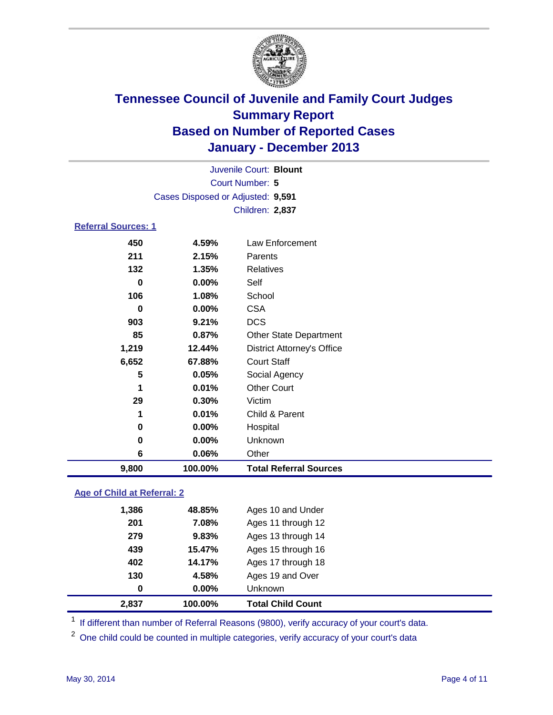

|                            |                                   | Juvenile Court: Blount            |
|----------------------------|-----------------------------------|-----------------------------------|
|                            |                                   | Court Number: 5                   |
|                            | Cases Disposed or Adjusted: 9,591 |                                   |
|                            |                                   | Children: 2,837                   |
| <b>Referral Sources: 1</b> |                                   |                                   |
| 450                        | 4.59%                             | Law Enforcement                   |
| 211                        | 2.15%                             | Parents                           |
| 132                        | 1.35%                             | <b>Relatives</b>                  |
| 0                          | $0.00\%$                          | Self                              |
| 106                        | 1.08%                             | School                            |
| 0                          | $0.00\%$                          | <b>CSA</b>                        |
| 903                        | 9.21%                             | <b>DCS</b>                        |
| 85                         | 0.87%                             | <b>Other State Department</b>     |
| 1,219                      | 12.44%                            | <b>District Attorney's Office</b> |
| 6,652                      | 67.88%                            | <b>Court Staff</b>                |
| 5                          | 0.05%                             | Social Agency                     |
| 1                          | 0.01%                             | <b>Other Court</b>                |
| 29                         | 0.30%                             | Victim                            |
| 1                          | 0.01%                             | Child & Parent                    |
| 0                          | $0.00\%$                          | Hospital                          |
| 0                          | 0.00%                             | Unknown                           |
| 6                          | 0.06%                             | Other                             |
| 9,800                      | 100.00%                           | <b>Total Referral Sources</b>     |
|                            |                                   |                                   |

### **Age of Child at Referral: 2**

|       |        | <b>Unknown</b>     |  |
|-------|--------|--------------------|--|
| 130   | 4.58%  | Ages 19 and Over   |  |
| 402   | 14.17% | Ages 17 through 18 |  |
| 439   | 15.47% | Ages 15 through 16 |  |
| 279   | 9.83%  | Ages 13 through 14 |  |
| 201   | 7.08%  | Ages 11 through 12 |  |
| 1,386 | 48.85% | Ages 10 and Under  |  |
|       |        | $0.00\%$<br>0      |  |

<sup>1</sup> If different than number of Referral Reasons (9800), verify accuracy of your court's data.

<sup>2</sup> One child could be counted in multiple categories, verify accuracy of your court's data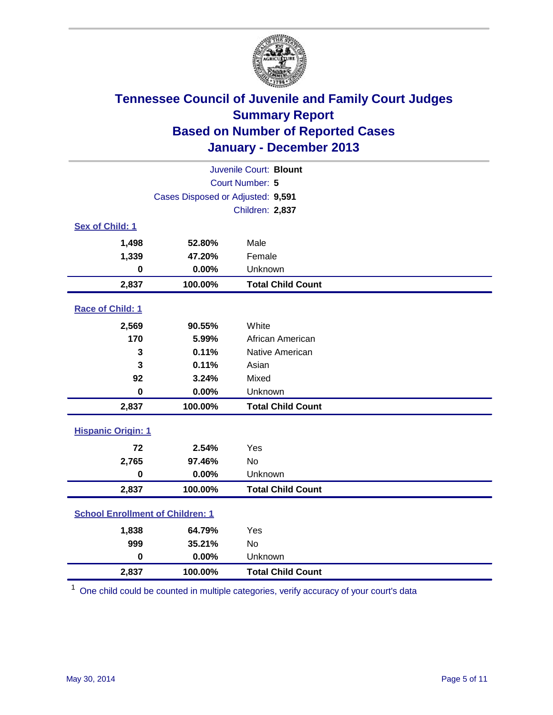

|                                         |         | Juvenile Court: Blount   |  |  |
|-----------------------------------------|---------|--------------------------|--|--|
| Court Number: 5                         |         |                          |  |  |
| Cases Disposed or Adjusted: 9,591       |         |                          |  |  |
|                                         |         | Children: 2,837          |  |  |
| Sex of Child: 1                         |         |                          |  |  |
| 1,498                                   | 52.80%  | Male                     |  |  |
| 1,339                                   | 47.20%  | Female                   |  |  |
| $\mathbf 0$                             | 0.00%   | Unknown                  |  |  |
| 2,837                                   | 100.00% | <b>Total Child Count</b> |  |  |
| Race of Child: 1                        |         |                          |  |  |
| 2,569                                   | 90.55%  | White                    |  |  |
| 170                                     | 5.99%   | African American         |  |  |
| 3                                       | 0.11%   | Native American          |  |  |
| 3                                       | 0.11%   | Asian                    |  |  |
| 92                                      | 3.24%   | Mixed                    |  |  |
| $\bf{0}$                                | 0.00%   | Unknown                  |  |  |
| 2,837                                   | 100.00% | <b>Total Child Count</b> |  |  |
| <b>Hispanic Origin: 1</b>               |         |                          |  |  |
| 72                                      | 2.54%   | Yes                      |  |  |
| 2,765                                   | 97.46%  | No                       |  |  |
| $\mathbf 0$                             | 0.00%   | Unknown                  |  |  |
| 2,837                                   | 100.00% | <b>Total Child Count</b> |  |  |
| <b>School Enrollment of Children: 1</b> |         |                          |  |  |
| 1,838                                   | 64.79%  | Yes                      |  |  |
| 999                                     | 35.21%  | <b>No</b>                |  |  |
| $\mathbf 0$                             | 0.00%   | Unknown                  |  |  |
| 2,837                                   | 100.00% | <b>Total Child Count</b> |  |  |

<sup>1</sup> One child could be counted in multiple categories, verify accuracy of your court's data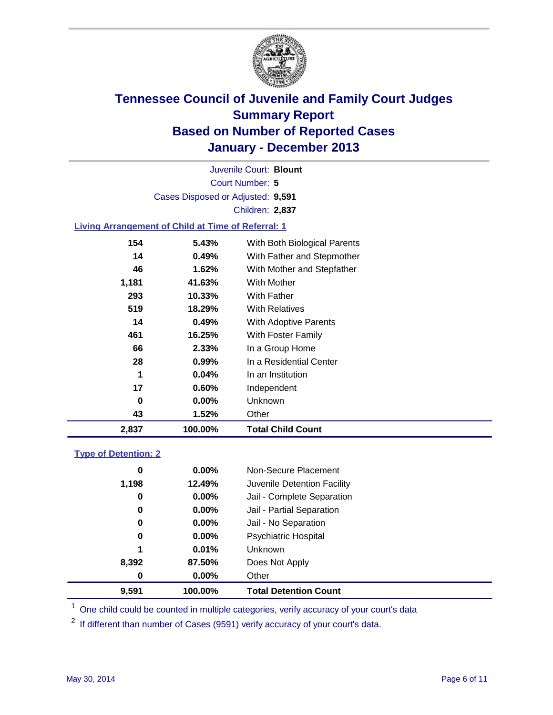

Court Number: **5** Juvenile Court: **Blount** Cases Disposed or Adjusted: **9,591** Children: **2,837**

### **Living Arrangement of Child at Time of Referral: 1**

| 2,837 | 100.00%  | <b>Total Child Count</b>     |
|-------|----------|------------------------------|
| 43    | 1.52%    | Other                        |
| 0     | $0.00\%$ | <b>Unknown</b>               |
| 17    | $0.60\%$ | Independent                  |
| 1     | 0.04%    | In an Institution            |
| 28    | $0.99\%$ | In a Residential Center      |
| 66    | 2.33%    | In a Group Home              |
| 461   | 16.25%   | With Foster Family           |
| 14    | 0.49%    | <b>With Adoptive Parents</b> |
| 519   | 18.29%   | <b>With Relatives</b>        |
| 293   | 10.33%   | With Father                  |
| 1,181 | 41.63%   | With Mother                  |
| 46    | 1.62%    | With Mother and Stepfather   |
| 14    | 0.49%    | With Father and Stepmother   |
| 154   | 5.43%    | With Both Biological Parents |
|       |          |                              |

### **Type of Detention: 2**

| 9.591 | 100.00%  | <b>Total Detention Count</b> |  |
|-------|----------|------------------------------|--|
| 0     | 0.00%    | Other                        |  |
| 8,392 | 87.50%   | Does Not Apply               |  |
| 1     | 0.01%    | <b>Unknown</b>               |  |
| 0     | $0.00\%$ | <b>Psychiatric Hospital</b>  |  |
| 0     | $0.00\%$ | Jail - No Separation         |  |
| 0     | $0.00\%$ | Jail - Partial Separation    |  |
| 0     | $0.00\%$ | Jail - Complete Separation   |  |
| 1,198 | 12.49%   | Juvenile Detention Facility  |  |
| 0     | $0.00\%$ | Non-Secure Placement         |  |
|       |          |                              |  |

<sup>1</sup> One child could be counted in multiple categories, verify accuracy of your court's data

<sup>2</sup> If different than number of Cases (9591) verify accuracy of your court's data.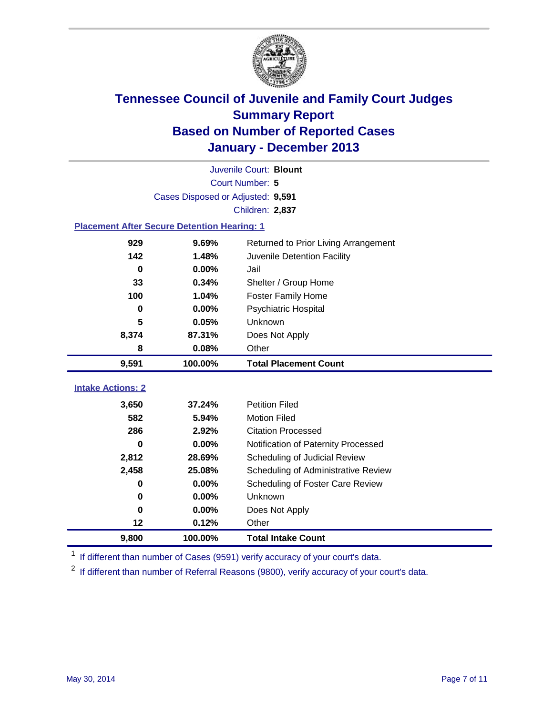

|                                                    |                                   | Juvenile Court: Blount               |  |  |  |
|----------------------------------------------------|-----------------------------------|--------------------------------------|--|--|--|
|                                                    | Court Number: 5                   |                                      |  |  |  |
|                                                    | Cases Disposed or Adjusted: 9,591 |                                      |  |  |  |
|                                                    |                                   | Children: 2,837                      |  |  |  |
| <b>Placement After Secure Detention Hearing: 1</b> |                                   |                                      |  |  |  |
| 929                                                | 9.69%                             | Returned to Prior Living Arrangement |  |  |  |
| 142                                                | 1.48%                             | Juvenile Detention Facility          |  |  |  |
| $\bf{0}$                                           | 0.00%                             | Jail                                 |  |  |  |
| 33                                                 | 0.34%                             | Shelter / Group Home                 |  |  |  |
| 100                                                | 1.04%                             | <b>Foster Family Home</b>            |  |  |  |
| 0                                                  | 0.00%                             | Psychiatric Hospital                 |  |  |  |
| 5                                                  | 0.05%                             | Unknown                              |  |  |  |
| 8,374                                              | 87.31%                            | Does Not Apply                       |  |  |  |
| 8                                                  | 0.08%                             | Other                                |  |  |  |
|                                                    |                                   |                                      |  |  |  |
| 9,591                                              | 100.00%                           | <b>Total Placement Count</b>         |  |  |  |
|                                                    |                                   |                                      |  |  |  |
| <b>Intake Actions: 2</b>                           |                                   |                                      |  |  |  |
| 3,650                                              | 37.24%                            | <b>Petition Filed</b>                |  |  |  |
| 582                                                | 5.94%                             | <b>Motion Filed</b>                  |  |  |  |
| 286                                                | 2.92%                             | <b>Citation Processed</b>            |  |  |  |
| $\bf{0}$                                           | 0.00%                             | Notification of Paternity Processed  |  |  |  |
| 2,812                                              | 28.69%                            | Scheduling of Judicial Review        |  |  |  |
| 2,458                                              | 25.08%                            | Scheduling of Administrative Review  |  |  |  |
| $\bf{0}$                                           | 0.00%                             | Scheduling of Foster Care Review     |  |  |  |
| 0                                                  | 0.00%                             | Unknown                              |  |  |  |
| $\bf{0}$                                           | 0.00%                             | Does Not Apply                       |  |  |  |
| 12<br>9,800                                        | 0.12%                             | Other                                |  |  |  |

<sup>1</sup> If different than number of Cases (9591) verify accuracy of your court's data.

<sup>2</sup> If different than number of Referral Reasons (9800), verify accuracy of your court's data.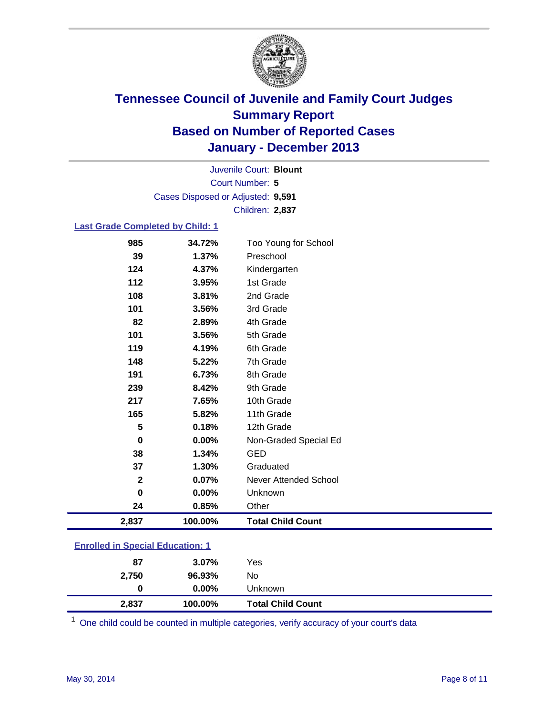

Court Number: **5** Juvenile Court: **Blount** Cases Disposed or Adjusted: **9,591** Children: **2,837**

### **Last Grade Completed by Child: 1**

| Preschool<br>39<br>1.37%<br>124<br>4.37%<br>Kindergarten<br>112<br>3.95%<br>1st Grade<br>108<br>2nd Grade<br>3.81%<br>101<br>3.56%<br>3rd Grade<br>82<br>4th Grade<br>2.89%<br>5th Grade<br>101<br>3.56%<br>119<br>6th Grade<br>4.19%<br>148<br>7th Grade<br>5.22%<br>8th Grade<br>191<br>6.73%<br>239<br>8.42%<br>9th Grade<br>217<br>10th Grade<br>7.65%<br>11th Grade<br>165<br>5.82%<br>12th Grade<br>5<br>0.18%<br>$\bf{0}$<br>0.00%<br>Non-Graded Special Ed<br>38<br><b>GED</b><br>1.34%<br>37<br>1.30%<br>Graduated<br>$\mathbf 2$<br>0.07%<br><b>Never Attended School</b><br>0<br>0.00%<br>Unknown<br>24<br>0.85%<br>Other<br>2,837<br>100.00%<br><b>Total Child Count</b> | 985 | 34.72% | Too Young for School |
|--------------------------------------------------------------------------------------------------------------------------------------------------------------------------------------------------------------------------------------------------------------------------------------------------------------------------------------------------------------------------------------------------------------------------------------------------------------------------------------------------------------------------------------------------------------------------------------------------------------------------------------------------------------------------------------|-----|--------|----------------------|
|                                                                                                                                                                                                                                                                                                                                                                                                                                                                                                                                                                                                                                                                                      |     |        |                      |
|                                                                                                                                                                                                                                                                                                                                                                                                                                                                                                                                                                                                                                                                                      |     |        |                      |
|                                                                                                                                                                                                                                                                                                                                                                                                                                                                                                                                                                                                                                                                                      |     |        |                      |
|                                                                                                                                                                                                                                                                                                                                                                                                                                                                                                                                                                                                                                                                                      |     |        |                      |
|                                                                                                                                                                                                                                                                                                                                                                                                                                                                                                                                                                                                                                                                                      |     |        |                      |
|                                                                                                                                                                                                                                                                                                                                                                                                                                                                                                                                                                                                                                                                                      |     |        |                      |
|                                                                                                                                                                                                                                                                                                                                                                                                                                                                                                                                                                                                                                                                                      |     |        |                      |
|                                                                                                                                                                                                                                                                                                                                                                                                                                                                                                                                                                                                                                                                                      |     |        |                      |
|                                                                                                                                                                                                                                                                                                                                                                                                                                                                                                                                                                                                                                                                                      |     |        |                      |
|                                                                                                                                                                                                                                                                                                                                                                                                                                                                                                                                                                                                                                                                                      |     |        |                      |
|                                                                                                                                                                                                                                                                                                                                                                                                                                                                                                                                                                                                                                                                                      |     |        |                      |
|                                                                                                                                                                                                                                                                                                                                                                                                                                                                                                                                                                                                                                                                                      |     |        |                      |
|                                                                                                                                                                                                                                                                                                                                                                                                                                                                                                                                                                                                                                                                                      |     |        |                      |
|                                                                                                                                                                                                                                                                                                                                                                                                                                                                                                                                                                                                                                                                                      |     |        |                      |
|                                                                                                                                                                                                                                                                                                                                                                                                                                                                                                                                                                                                                                                                                      |     |        |                      |
|                                                                                                                                                                                                                                                                                                                                                                                                                                                                                                                                                                                                                                                                                      |     |        |                      |
|                                                                                                                                                                                                                                                                                                                                                                                                                                                                                                                                                                                                                                                                                      |     |        |                      |
|                                                                                                                                                                                                                                                                                                                                                                                                                                                                                                                                                                                                                                                                                      |     |        |                      |
|                                                                                                                                                                                                                                                                                                                                                                                                                                                                                                                                                                                                                                                                                      |     |        |                      |
|                                                                                                                                                                                                                                                                                                                                                                                                                                                                                                                                                                                                                                                                                      |     |        |                      |
|                                                                                                                                                                                                                                                                                                                                                                                                                                                                                                                                                                                                                                                                                      |     |        |                      |

| 2,837 | 100.00%  | <b>Total Child Count</b> |  |
|-------|----------|--------------------------|--|
| 0     | $0.00\%$ | Unknown                  |  |
| 2,750 | 96.93%   | No                       |  |
| 87    | $3.07\%$ | Yes                      |  |

One child could be counted in multiple categories, verify accuracy of your court's data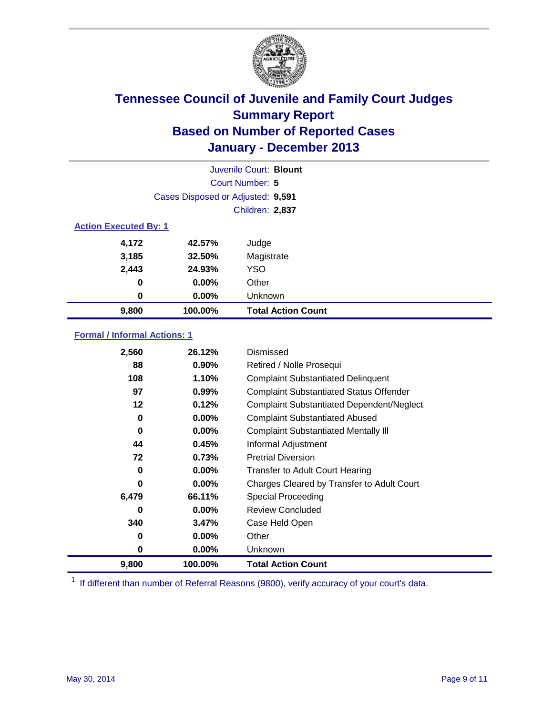

|                              |                                   | Juvenile Court: Blount    |
|------------------------------|-----------------------------------|---------------------------|
|                              |                                   | Court Number: 5           |
|                              | Cases Disposed or Adjusted: 9,591 |                           |
|                              |                                   | Children: 2,837           |
| <b>Action Executed By: 1</b> |                                   |                           |
| 4,172                        | 42.57%                            | Judge                     |
| 3,185                        | 32.50%                            | Magistrate                |
| 2,443                        | 24.93%                            | <b>YSO</b>                |
| 0                            | 0.00%                             | Other                     |
| $\bf{0}$                     | $0.00\%$                          | Unknown                   |
| 9,800                        | 100.00%                           | <b>Total Action Count</b> |

### **Formal / Informal Actions: 1**

| 2,560 | 26.12%   | Dismissed                                        |
|-------|----------|--------------------------------------------------|
| 88    | $0.90\%$ | Retired / Nolle Prosequi                         |
| 108   | 1.10%    | <b>Complaint Substantiated Delinquent</b>        |
| 97    | 0.99%    | <b>Complaint Substantiated Status Offender</b>   |
| 12    | 0.12%    | <b>Complaint Substantiated Dependent/Neglect</b> |
| 0     | $0.00\%$ | <b>Complaint Substantiated Abused</b>            |
| 0     | $0.00\%$ | <b>Complaint Substantiated Mentally III</b>      |
| 44    | 0.45%    | Informal Adjustment                              |
| 72    | 0.73%    | <b>Pretrial Diversion</b>                        |
| 0     | $0.00\%$ | <b>Transfer to Adult Court Hearing</b>           |
| 0     | $0.00\%$ | Charges Cleared by Transfer to Adult Court       |
| 6,479 | 66.11%   | Special Proceeding                               |
| 0     | $0.00\%$ | <b>Review Concluded</b>                          |
| 340   | 3.47%    | Case Held Open                                   |
| 0     | $0.00\%$ | Other                                            |
| 0     | $0.00\%$ | <b>Unknown</b>                                   |
| 9,800 | 100.00%  | <b>Total Action Count</b>                        |

<sup>1</sup> If different than number of Referral Reasons (9800), verify accuracy of your court's data.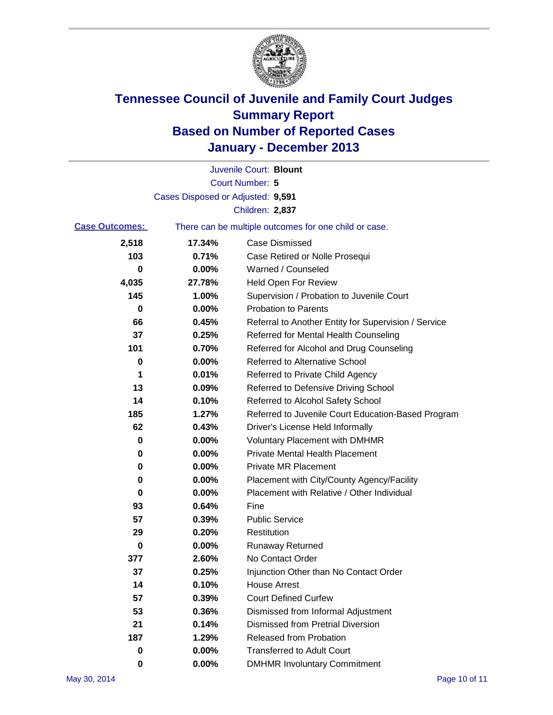

|                       |                                   | Juvenile Court: Blount                                |
|-----------------------|-----------------------------------|-------------------------------------------------------|
|                       |                                   | Court Number: 5                                       |
|                       | Cases Disposed or Adjusted: 9,591 |                                                       |
|                       |                                   | Children: 2,837                                       |
| <b>Case Outcomes:</b> |                                   | There can be multiple outcomes for one child or case. |
| 2,518                 | 17.34%                            | Case Dismissed                                        |
| 103                   | 0.71%                             | Case Retired or Nolle Prosequi                        |
| 0                     | 0.00%                             | Warned / Counseled                                    |
| 4,035                 | 27.78%                            | <b>Held Open For Review</b>                           |
| 145                   | 1.00%                             | Supervision / Probation to Juvenile Court             |
| 0                     | 0.00%                             | <b>Probation to Parents</b>                           |
| 66                    | 0.45%                             | Referral to Another Entity for Supervision / Service  |
| 37                    | 0.25%                             | Referred for Mental Health Counseling                 |
| 101                   | 0.70%                             | Referred for Alcohol and Drug Counseling              |
| 0                     | 0.00%                             | <b>Referred to Alternative School</b>                 |
| 1                     | 0.01%                             | Referred to Private Child Agency                      |
| 13                    | 0.09%                             | Referred to Defensive Driving School                  |
| 14                    | 0.10%                             | Referred to Alcohol Safety School                     |
| 185                   | 1.27%                             | Referred to Juvenile Court Education-Based Program    |
| 62                    | 0.43%                             | Driver's License Held Informally                      |
| 0                     | 0.00%                             | <b>Voluntary Placement with DMHMR</b>                 |
| 0                     | 0.00%                             | <b>Private Mental Health Placement</b>                |
| 0                     | 0.00%                             | <b>Private MR Placement</b>                           |
| 0                     | 0.00%                             | Placement with City/County Agency/Facility            |
| 0                     | 0.00%                             | Placement with Relative / Other Individual            |
| 93                    | 0.64%                             | Fine                                                  |
| 57                    | 0.39%                             | <b>Public Service</b>                                 |
| 29                    | 0.20%                             | Restitution                                           |
| 0                     | 0.00%                             | <b>Runaway Returned</b>                               |
| 377                   | 2.60%                             | No Contact Order                                      |
| 37                    | 0.25%                             | Injunction Other than No Contact Order                |
| 14                    | 0.10%                             | <b>House Arrest</b>                                   |
| 57                    | 0.39%                             | <b>Court Defined Curfew</b>                           |
| 53                    | 0.36%                             | Dismissed from Informal Adjustment                    |
| 21                    | 0.14%                             | Dismissed from Pretrial Diversion                     |
| 187                   | 1.29%                             | Released from Probation                               |
| 0                     | 0.00%                             | <b>Transferred to Adult Court</b>                     |
| 0                     | $0.00\%$                          | <b>DMHMR Involuntary Commitment</b>                   |